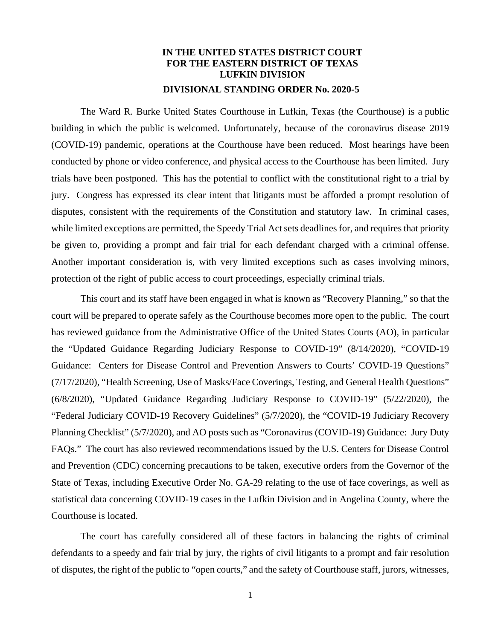## **IN THE UNITED STATES DISTRICT COURT FOR THE EASTERN DISTRICT OF TEXAS LUFKIN DIVISION DIVISIONAL STANDING ORDER No. 2020-5**

The Ward R. Burke United States Courthouse in Lufkin, Texas (the Courthouse) is a public building in which the public is welcomed. Unfortunately, because of the coronavirus disease 2019 (COVID-19) pandemic, operations at the Courthouse have been reduced. Most hearings have been conducted by phone or video conference, and physical access to the Courthouse has been limited. Jury trials have been postponed. This has the potential to conflict with the constitutional right to a trial by jury. Congress has expressed its clear intent that litigants must be afforded a prompt resolution of disputes, consistent with the requirements of the Constitution and statutory law. In criminal cases, while limited exceptions are permitted, the Speedy Trial Act sets deadlines for, and requires that priority be given to, providing a prompt and fair trial for each defendant charged with a criminal offense. Another important consideration is, with very limited exceptions such as cases involving minors, protection of the right of public access to court proceedings, especially criminal trials.

This court and its staff have been engaged in what is known as "Recovery Planning," so that the court will be prepared to operate safely as the Courthouse becomes more open to the public. The court has reviewed guidance from the Administrative Office of the United States Courts (AO), in particular the "Updated Guidance Regarding Judiciary Response to COVID-19" (8/14/2020), "COVID-19 Guidance: Centers for Disease Control and Prevention Answers to Courts' COVID-19 Questions" (7/17/2020), "Health Screening, Use of Masks/Face Coverings, Testing, and General Health Questions" (6/8/2020), "Updated Guidance Regarding Judiciary Response to COVID-19" (5/22/2020), the "Federal Judiciary COVID-19 Recovery Guidelines" (5/7/2020), the "COVID-19 Judiciary Recovery Planning Checklist" (5/7/2020), and AO posts such as "Coronavirus (COVID-19) Guidance: Jury Duty FAQs." The court has also reviewed recommendations issued by the U.S. Centers for Disease Control and Prevention (CDC) concerning precautions to be taken, executive orders from the Governor of the State of Texas, including Executive Order No. GA-29 relating to the use of face coverings, as well as statistical data concerning COVID-19 cases in the Lufkin Division and in Angelina County, where the Courthouse is located.

The court has carefully considered all of these factors in balancing the rights of criminal defendants to a speedy and fair trial by jury, the rights of civil litigants to a prompt and fair resolution of disputes, the right of the public to "open courts," and the safety of Courthouse staff, jurors, witnesses,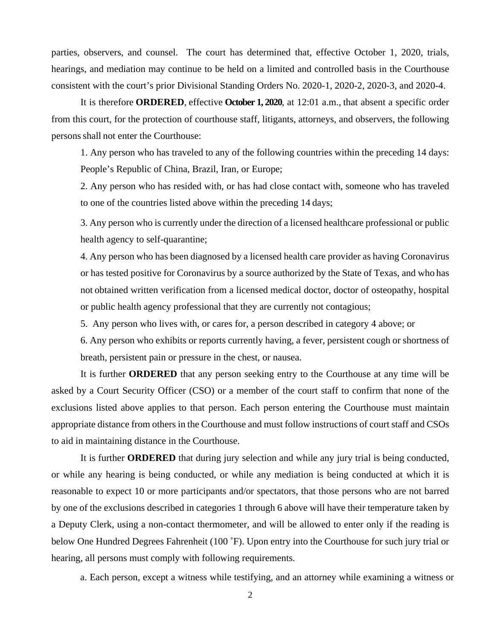parties, observers, and counsel. The court has determined that, effective October 1, 2020, trials, hearings, and mediation may continue to be held on a limited and controlled basis in the Courthouse consistent with the court's prior Divisional Standing Orders No. 2020-1, 2020-2, 2020-3, and 2020-4.

It is therefore **ORDERED**, effective **October 1, 2020**, at 12:01 a.m., that absent a specific order from this court, for the protection of courthouse staff, litigants, attorneys, and observers, the following persons shall not enter the Courthouse:

1. Any person who has traveled to any of the following countries within the preceding 14 days: People's Republic of China, Brazil, Iran, or Europe;

2. Any person who has resided with, or has had close contact with, someone who has traveled to one of the countries listed above within the preceding 14 days;

3. Any person who is currently under the direction of a licensed healthcare professional or public health agency to self-quarantine;

4. Any person who has been diagnosed by a licensed health care provider as having Coronavirus or has tested positive for Coronavirus by a source authorized by the State of Texas, and who has not obtained written verification from a licensed medical doctor, doctor of osteopathy, hospital or public health agency professional that they are currently not contagious;

5. Any person who lives with, or cares for, a person described in category 4 above; or

6. Any person who exhibits or reports currently having, a fever, persistent cough or shortness of breath, persistent pain or pressure in the chest, or nausea.

 It is further **ORDERED** that any person seeking entry to the Courthouse at any time will be asked by a Court Security Officer (CSO) or a member of the court staff to confirm that none of the exclusions listed above applies to that person. Each person entering the Courthouse must maintain appropriate distance from others in the Courthouse and must follow instructions of court staff and CSOs to aid in maintaining distance in the Courthouse.

 It is further **ORDERED** that during jury selection and while any jury trial is being conducted, or while any hearing is being conducted, or while any mediation is being conducted at which it is reasonable to expect 10 or more participants and/or spectators, that those persons who are not barred by one of the exclusions described in categories 1 through 6 above will have their temperature taken by a Deputy Clerk, using a non-contact thermometer, and will be allowed to enter only if the reading is below One Hundred Degrees Fahrenheit (100 °F). Upon entry into the Courthouse for such jury trial or hearing, all persons must comply with following requirements.

a. Each person, except a witness while testifying, and an attorney while examining a witness or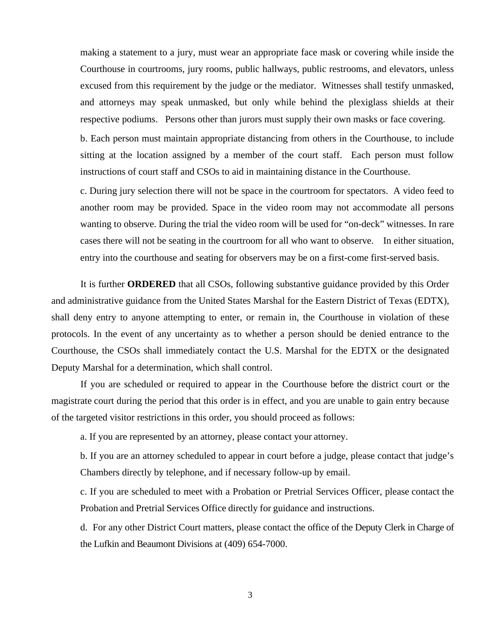making a statement to a jury, must wear an appropriate face mask or covering while inside the Courthouse in courtrooms, jury rooms, public hallways, public restrooms, and elevators, unless excused from this requirement by the judge or the mediator. Witnesses shall testify unmasked, and attorneys may speak unmasked, but only while behind the plexiglass shields at their respective podiums. Persons other than jurors must supply their own masks or face covering.

 b. Each person must maintain appropriate distancing from others in the Courthouse, to include sitting at the location assigned by a member of the court staff. Each person must follow instructions of court staff and CSOs to aid in maintaining distance in the Courthouse.

 c. During jury selection there will not be space in the courtroom for spectators. A video feed to another room may be provided. Space in the video room may not accommodate all persons wanting to observe. During the trial the video room will be used for "on-deck" witnesses. In rare cases there will not be seating in the courtroom for all who want to observe. In either situation, entry into the courthouse and seating for observers may be on a first-come first-served basis.

 It is further **ORDERED** that all CSOs, following substantive guidance provided by this Order and administrative guidance from the United States Marshal for the Eastern District of Texas (EDTX), shall deny entry to anyone attempting to enter, or remain in, the Courthouse in violation of these protocols. In the event of any uncertainty as to whether a person should be denied entrance to the Courthouse, the CSOs shall immediately contact the U.S. Marshal for the EDTX or the designated Deputy Marshal for a determination, which shall control.

If you are scheduled or required to appear in the Courthouse before the district court or the magistrate court during the period that this order is in effect, and you are unable to gain entry because of the targeted visitor restrictions in this order, you should proceed as follows:

a. If you are represented by an attorney, please contact your attorney.

 b. If you are an attorney scheduled to appear in court before a judge, please contact that judge's Chambers directly by telephone, and if necessary follow-up by email.

 c. If you are scheduled to meet with a Probation or Pretrial Services Officer, please contact the Probation and Pretrial Services Office directly for guidance and instructions.

 d. For any other District Court matters, please contact the office of the Deputy Clerk in Charge of the Lufkin and Beaumont Divisions at (409) 654-7000.